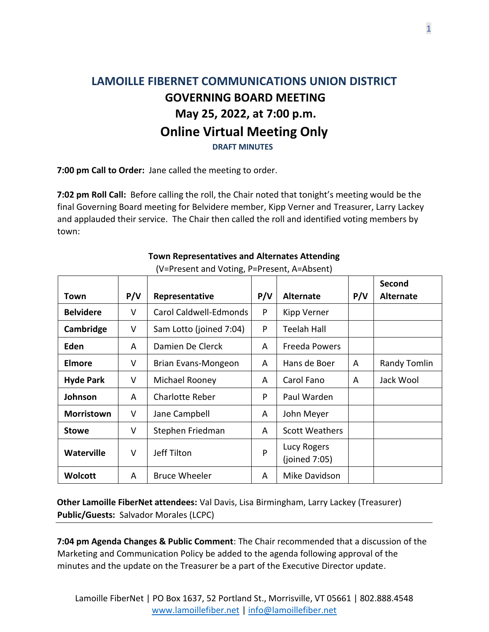## **LAMOILLE FIBERNET COMMUNICATIONS UNION DISTRICT GOVERNING BOARD MEETING May 25, 2022, at 7:00 p.m. Online Virtual Meeting Only DRAFT MINUTES**

**7:00 pm Call to Order:** Jane called the meeting to order.

**7:02 pm Roll Call:** Before calling the roll, the Chair noted that tonight's meeting would be the final Governing Board meeting for Belvidere member, Kipp Verner and Treasurer, Larry Lackey and applauded their service. The Chair then called the roll and identified voting members by town:

|                   |        |                         |     |                              |     | Second           |
|-------------------|--------|-------------------------|-----|------------------------------|-----|------------------|
| Town              | P/V    | Representative          | P/V | <b>Alternate</b>             | P/V | <b>Alternate</b> |
| <b>Belvidere</b>  | V      | Carol Caldwell-Edmonds  | P   | Kipp Verner                  |     |                  |
| Cambridge         | V      | Sam Lotto (joined 7:04) | P   | <b>Teelah Hall</b>           |     |                  |
| Eden              | A      | Damien De Clerck        | A   | Freeda Powers                |     |                  |
| Elmore            | V      | Brian Evans-Mongeon     | A   | Hans de Boer                 | A   | Randy Tomlin     |
| <b>Hyde Park</b>  | $\vee$ | Michael Rooney          | A   | Carol Fano                   | A   | Jack Wool        |
| Johnson           | A      | <b>Charlotte Reber</b>  | P   | Paul Warden                  |     |                  |
| <b>Morristown</b> | V      | Jane Campbell           | A   | John Meyer                   |     |                  |
| <b>Stowe</b>      | V      | Stephen Friedman        | A   | <b>Scott Weathers</b>        |     |                  |
| <b>Waterville</b> | V      | Jeff Tilton             | P   | Lucy Rogers<br>(joined 7:05) |     |                  |
| <b>Wolcott</b>    | A      | <b>Bruce Wheeler</b>    | A   | Mike Davidson                |     |                  |

## **Town Representatives and Alternates Attending**

(V=Present and Voting, P=Present, A=Absent)

**Other Lamoille FiberNet attendees:** Val Davis, Lisa Birmingham, Larry Lackey (Treasurer) **Public/Guests:** Salvador Morales (LCPC)

**7:04 pm Agenda Changes & Public Comment**: The Chair recommended that a discussion of the Marketing and Communication Policy be added to the agenda following approval of the minutes and the update on the Treasurer be a part of the Executive Director update.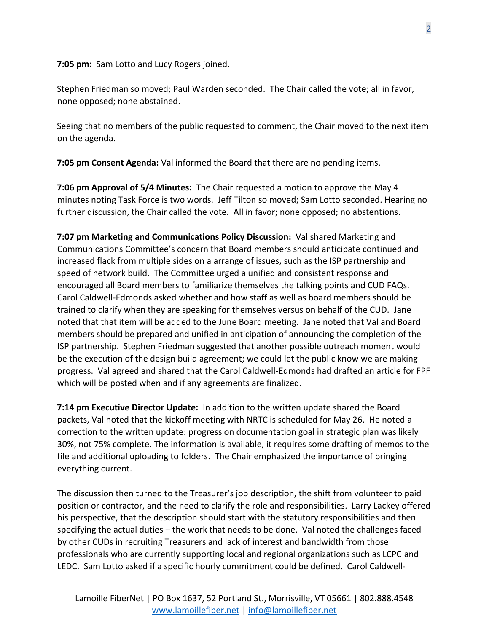**7:05 pm:** Sam Lotto and Lucy Rogers joined.

Stephen Friedman so moved; Paul Warden seconded. The Chair called the vote; all in favor, none opposed; none abstained.

Seeing that no members of the public requested to comment, the Chair moved to the next item on the agenda.

**7:05 pm Consent Agenda:** Val informed the Board that there are no pending items.

**7:06 pm Approval of 5/4 Minutes:** The Chair requested a motion to approve the May 4 minutes noting Task Force is two words. Jeff Tilton so moved; Sam Lotto seconded. Hearing no further discussion, the Chair called the vote. All in favor; none opposed; no abstentions.

**7:07 pm Marketing and Communications Policy Discussion:** Val shared Marketing and Communications Committee's concern that Board members should anticipate continued and increased flack from multiple sides on a arrange of issues, such as the ISP partnership and speed of network build. The Committee urged a unified and consistent response and encouraged all Board members to familiarize themselves the talking points and CUD FAQs. Carol Caldwell-Edmonds asked whether and how staff as well as board members should be trained to clarify when they are speaking for themselves versus on behalf of the CUD. Jane noted that that item will be added to the June Board meeting. Jane noted that Val and Board members should be prepared and unified in anticipation of announcing the completion of the ISP partnership. Stephen Friedman suggested that another possible outreach moment would be the execution of the design build agreement; we could let the public know we are making progress. Val agreed and shared that the Carol Caldwell-Edmonds had drafted an article for FPF which will be posted when and if any agreements are finalized.

**7:14 pm Executive Director Update:** In addition to the written update shared the Board packets, Val noted that the kickoff meeting with NRTC is scheduled for May 26. He noted a correction to the written update: progress on documentation goal in strategic plan was likely 30%, not 75% complete. The information is available, it requires some drafting of memos to the file and additional uploading to folders. The Chair emphasized the importance of bringing everything current.

The discussion then turned to the Treasurer's job description, the shift from volunteer to paid position or contractor, and the need to clarify the role and responsibilities. Larry Lackey offered his perspective, that the description should start with the statutory responsibilities and then specifying the actual duties – the work that needs to be done. Val noted the challenges faced by other CUDs in recruiting Treasurers and lack of interest and bandwidth from those professionals who are currently supporting local and regional organizations such as LCPC and LEDC. Sam Lotto asked if a specific hourly commitment could be defined. Carol Caldwell-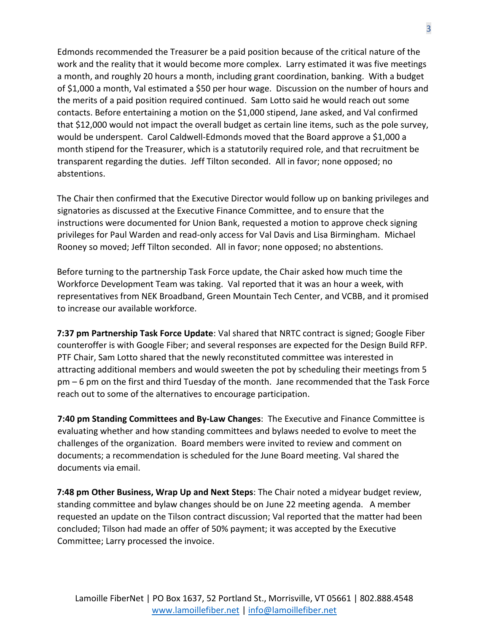Edmonds recommended the Treasurer be a paid position because of the critical nature of the work and the reality that it would become more complex. Larry estimated it was five meetings a month, and roughly 20 hours a month, including grant coordination, banking. With a budget of \$1,000 a month, Val estimated a \$50 per hour wage. Discussion on the number of hours and the merits of a paid position required continued. Sam Lotto said he would reach out some contacts. Before entertaining a motion on the \$1,000 stipend, Jane asked, and Val confirmed that \$12,000 would not impact the overall budget as certain line items, such as the pole survey, would be underspent. Carol Caldwell-Edmonds moved that the Board approve a \$1,000 a month stipend for the Treasurer, which is a statutorily required role, and that recruitment be transparent regarding the duties. Jeff Tilton seconded. All in favor; none opposed; no abstentions.

The Chair then confirmed that the Executive Director would follow up on banking privileges and signatories as discussed at the Executive Finance Committee, and to ensure that the instructions were documented for Union Bank, requested a motion to approve check signing privileges for Paul Warden and read-only access for Val Davis and Lisa Birmingham. Michael Rooney so moved; Jeff Tilton seconded. All in favor; none opposed; no abstentions.

Before turning to the partnership Task Force update, the Chair asked how much time the Workforce Development Team was taking. Val reported that it was an hour a week, with representatives from NEK Broadband, Green Mountain Tech Center, and VCBB, and it promised to increase our available workforce.

**7:37 pm Partnership Task Force Update**: Val shared that NRTC contract is signed; Google Fiber counteroffer is with Google Fiber; and several responses are expected for the Design Build RFP. PTF Chair, Sam Lotto shared that the newly reconstituted committee was interested in attracting additional members and would sweeten the pot by scheduling their meetings from 5 pm – 6 pm on the first and third Tuesday of the month. Jane recommended that the Task Force reach out to some of the alternatives to encourage participation.

**7:40 pm Standing Committees and By-Law Changes**: The Executive and Finance Committee is evaluating whether and how standing committees and bylaws needed to evolve to meet the challenges of the organization. Board members were invited to review and comment on documents; a recommendation is scheduled for the June Board meeting. Val shared the documents via email.

**7:48 pm Other Business, Wrap Up and Next Steps**: The Chair noted a midyear budget review, standing committee and bylaw changes should be on June 22 meeting agenda. A member requested an update on the Tilson contract discussion; Val reported that the matter had been concluded; Tilson had made an offer of 50% payment; it was accepted by the Executive Committee; Larry processed the invoice.